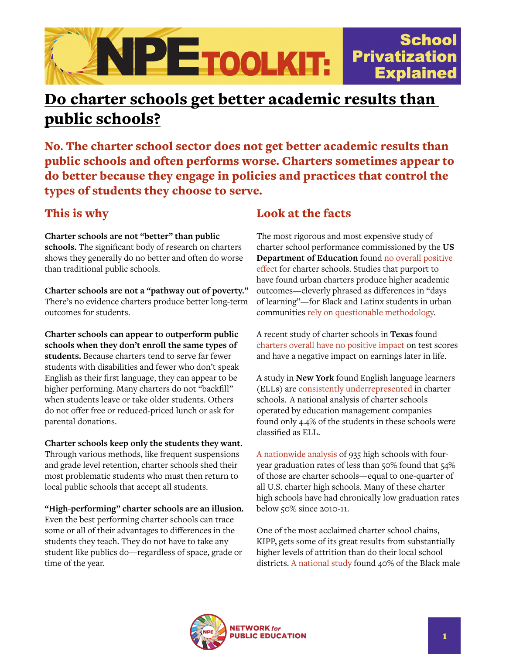

## Do charter schools get better academic results than public schools?

No**.** The charter school sector does not get better academic results than public schools and often performs worse. Charters sometimes appear to do better because they engage in policies and practices that control the types of students they choose to serve.

## This is why

**Charter schools are not "better" than public schools.** The significant body of research on charters shows they generally do no better and often do worse than traditional public schools.

**Charter schools are not a "pathway out of poverty."** There's no evidence charters produce better long-term outcomes for students.

**Charter schools can appear to outperform public schools when they don't enroll the same types of students.** Because charters tend to serve far fewer students with disabilities and fewer who don't speak English as their first language, they can appear to be higher performing. Many charters do not "backfill" when students leave or take older students. Others do not offer free or reduced-priced lunch or ask for parental donations.

**Charter schools keep only the students they want.**

Through various methods, like frequent suspensions and grade level retention, charter schools shed their most problematic students who must then return to local public schools that accept all students.

**"High-performing" charter schools are an illusion.**

Even the best performing charter schools can trace some or all of their advantages to differences in the students they teach. They do not have to take any student like publics do—regardless of space, grade or time of the year.

## Look at the facts

The most rigorous and most expensive study of charter school performance commissioned by the **US Department of Education** found [no overall positive](https://eric.ed.gov/?id=ED510573)  [effect](https://eric.ed.gov/?id=ED510573) for charter schools. Studies that purport to have found urban charters produce higher academic outcomes—cleverly phrased as differences in "days of learning"—for Black and Latinx students in urban communities [rely on questionable methodology](https://nepc.colorado.edu/publication/problems-credo).

A recent study of charter schools in **Texas** found [charters overall have no positive impact](https://www.nber.org/papers/w22502) on test scores and have a negative impact on earnings later in life.

A study in **New York** found English language learners (ELLs) are [consistently underrepresented](https://eric.ed.gov/?id=EJ917762) in charter schools. A national analysis of charter schools operated by education management companies found only 4.4% of the students in these schools were classified as ELL.

[A nationwide analysis](https://www.edweek.org/teaching-learning/in-many-charter-high-schools-graduation-odds-are-slim/2019/02) of 935 high schools with fouryear graduation rates of less than 50% found that 54% of those are charter schools—equal to one-quarter of all U.S. charter high schools. Many of these charter high schools have had chronically low graduation rates below 50% since 2010-11.

One of the most acclaimed charter school chains, KIPP, gets some of its great results from substantially higher levels of attrition than do their local school districts. [A national study](https://www.researchgate.net/publication/228581036_What_Makes_KIPP_Work_A_Study_of_Student_Characteristics_Attrition_and_School_Finance) found 40% of the Black male